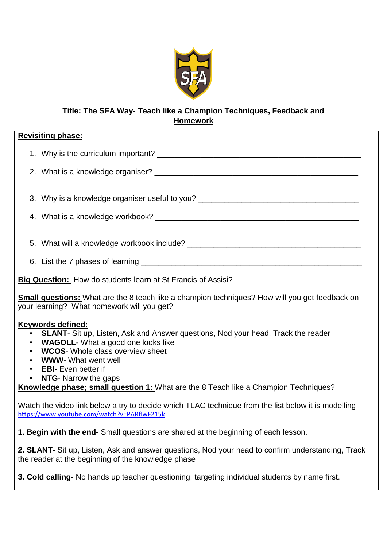

# **Title: The SFA Way- Teach like a Champion Techniques, Feedback and Homework**

| <b>Revisiting phase:</b>                                                                                                                                                                                                                                                     |  |
|------------------------------------------------------------------------------------------------------------------------------------------------------------------------------------------------------------------------------------------------------------------------------|--|
|                                                                                                                                                                                                                                                                              |  |
|                                                                                                                                                                                                                                                                              |  |
| 3. Why is a knowledge organiser useful to you? _________________________________                                                                                                                                                                                             |  |
|                                                                                                                                                                                                                                                                              |  |
|                                                                                                                                                                                                                                                                              |  |
|                                                                                                                                                                                                                                                                              |  |
| Big Question: How do students learn at St Francis of Assisi?                                                                                                                                                                                                                 |  |
| <b>Small questions:</b> What are the 8 teach like a champion techniques? How will you get feedback on<br>your learning? What homework will you get?                                                                                                                          |  |
| <b>Keywords defined:</b><br>• SLANT- Sit up, Listen, Ask and Answer questions, Nod your head, Track the reader<br>• WAGOLL-What a good one looks like<br>• WCOS- Whole class overview sheet<br><b>WWW-</b> What went well<br>• EBI- Even better if<br>• NTG- Narrow the gaps |  |
| Knowledge phase; small question 1: What are the 8 Teach like a Champion Techniques?                                                                                                                                                                                          |  |
| Watch the video link below a try to decide which TLAC technique from the list below it is modelling<br>https://www.youtube.com/watch?v=PARflwF215k                                                                                                                           |  |
| 1. Begin with the end- Small questions are shared at the beginning of each lesson.                                                                                                                                                                                           |  |
| 2. SLANT- Sit up, Listen, Ask and answer questions, Nod your head to confirm understanding, Track<br>the reader at the beginning of the knowledge phase                                                                                                                      |  |
| 3. Cold calling- No hands up teacher questioning, targeting individual students by name first.                                                                                                                                                                               |  |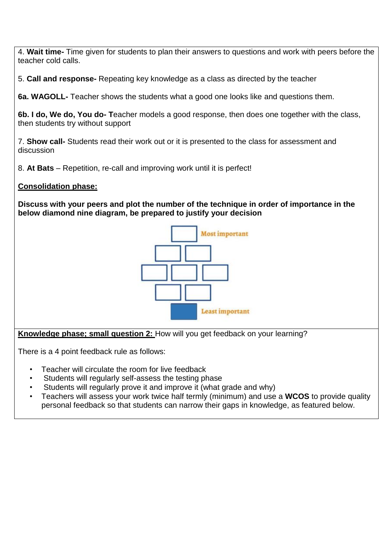4. **Wait time-** Time given for students to plan their answers to questions and work with peers before the teacher cold calls.

5. **Call and response-** Repeating key knowledge as a class as directed by the teacher

**6a. WAGOLL-** Teacher shows the students what a good one looks like and questions them.

**6b. I do, We do, You do- T**eacher models a good response, then does one together with the class, then students try without support

7. **Show call-** Students read their work out or it is presented to the class for assessment and discussion

8. **At Bats** – Repetition, re-call and improving work until it is perfect!

#### **Consolidation phase:**

**Discuss with your peers and plot the number of the technique in order of importance in the below diamond nine diagram, be prepared to justify your decision**



**Knowledge phase; small question 2:** How will you get feedback on your learning?

There is a 4 point feedback rule as follows:

- Teacher will circulate the room for live feedback
- Students will regularly self-assess the testing phase
- Students will regularly prove it and improve it (what grade and why)
- Teachers will assess your work twice half termly (minimum) and use a **WCOS** to provide quality personal feedback so that students can narrow their gaps in knowledge, as featured below.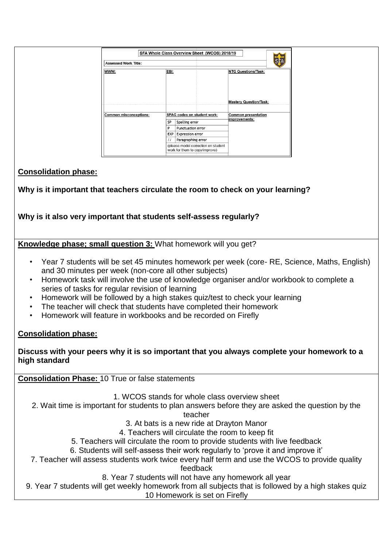| SFA Whole Class Overview Sheet (WCOS) 2018/19<br>SFA<br>Assessed Work Title: |           |                                                                       |                               |  |
|------------------------------------------------------------------------------|-----------|-----------------------------------------------------------------------|-------------------------------|--|
| WWW:                                                                         | EBI:      |                                                                       | <b>NTG Questions/Task:</b>    |  |
|                                                                              |           |                                                                       | <b>Mastery Question/Task:</b> |  |
| Common misconceptions:                                                       |           | SPAG codes on student work:                                           | Common presentation           |  |
|                                                                              | <b>SP</b> | Spelling error                                                        | improvements:                 |  |
|                                                                              | P         | Punctuation error                                                     |                               |  |
|                                                                              | EXP       | <b>Expression error</b>                                               |                               |  |
|                                                                              |           | Paragraphing error                                                    |                               |  |
|                                                                              |           | (please model correction on student<br>work for them to copy/improve) |                               |  |

## **Consolidation phase:**

**Why is it important that teachers circulate the room to check on your learning?**

**Why is it also very important that students self-assess regularly?**

**Knowledge phase; small question 3:** What homework will you get?

- Year 7 students will be set 45 minutes homework per week (core- RE, Science, Maths, English) and 30 minutes per week (non-core all other subjects)
- Homework task will involve the use of knowledge organiser and/or workbook to complete a series of tasks for regular revision of learning
- Homework will be followed by a high stakes quiz/test to check your learning
- The teacher will check that students have completed their homework
- Homework will feature in workbooks and be recorded on Firefly

# **Consolidation phase:**

**Discuss with your peers why it is so important that you always complete your homework to a high standard**

**Consolidation Phase:** 10 True or false statements

1. WCOS stands for whole class overview sheet

2. Wait time is important for students to plan answers before they are asked the question by the

teacher

3. At bats is a new ride at Drayton Manor

4. Teachers will circulate the room to keep fit

5. Teachers will circulate the room to provide students with live feedback

6. Students will self-assess their work regularly to 'prove it and improve it'

7. Teacher will assess students work twice every half term and use the WCOS to provide quality feedback

8. Year 7 students will not have any homework all year

9. Year 7 students will get weekly homework from all subjects that is followed by a high stakes quiz

10 Homework is set on Firefly